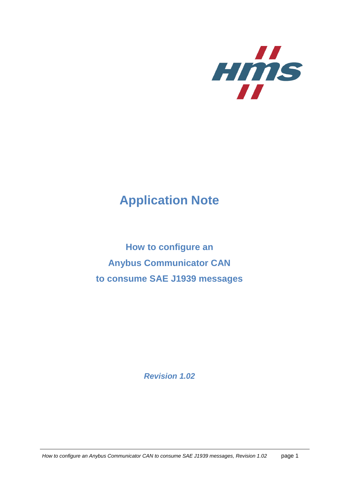

# **Application Note**

**How to configure an Anybus Communicator CAN to consume SAE J1939 messages**

*Revision 1.02*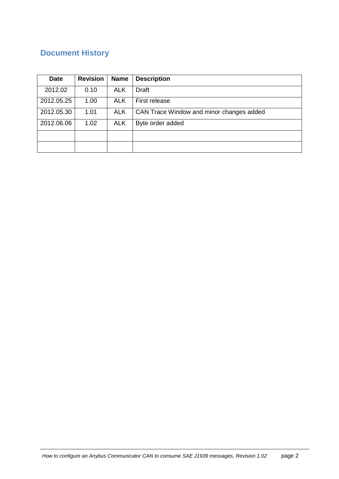# **Document History**

| <b>Date</b> | <b>Revision</b> | <b>Name</b> | <b>Description</b>                       |
|-------------|-----------------|-------------|------------------------------------------|
| 2012.02     | 0.10            | <b>ALK</b>  | Draft                                    |
| 2012.05.25  | 1.00            | <b>ALK</b>  | First release                            |
| 2012.05.30  | 1.01            | <b>ALK</b>  | CAN Trace Window and minor changes added |
| 2012.06.06  | 1.02            | <b>ALK</b>  | Byte order added                         |
|             |                 |             |                                          |
|             |                 |             |                                          |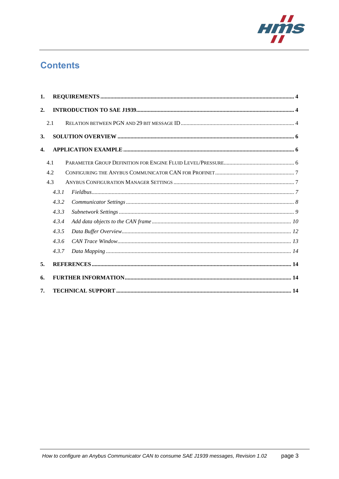

# **Contents**

| 1.                 |       |  |  |  |  |  |  |  |
|--------------------|-------|--|--|--|--|--|--|--|
| 2.                 |       |  |  |  |  |  |  |  |
|                    | 2.1   |  |  |  |  |  |  |  |
| 3.                 |       |  |  |  |  |  |  |  |
| $\boldsymbol{4}$ . |       |  |  |  |  |  |  |  |
|                    | 4.1   |  |  |  |  |  |  |  |
|                    | 4.2   |  |  |  |  |  |  |  |
|                    | 4.3   |  |  |  |  |  |  |  |
|                    | 4.3.1 |  |  |  |  |  |  |  |
|                    | 4.3.2 |  |  |  |  |  |  |  |
|                    | 4.3.3 |  |  |  |  |  |  |  |
|                    | 4.3.4 |  |  |  |  |  |  |  |
|                    | 4.3.5 |  |  |  |  |  |  |  |
|                    | 4.3.6 |  |  |  |  |  |  |  |
|                    | 4.3.7 |  |  |  |  |  |  |  |
| 5.                 |       |  |  |  |  |  |  |  |
| 6.                 |       |  |  |  |  |  |  |  |
| 7.                 |       |  |  |  |  |  |  |  |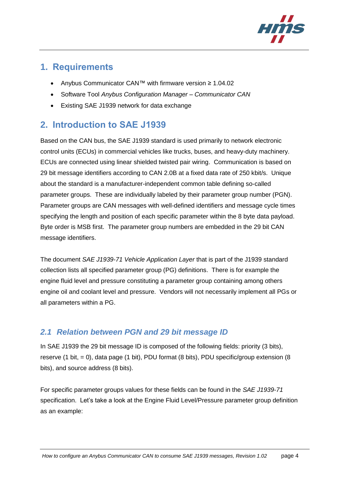

### <span id="page-3-0"></span>**1. Requirements**

- Anybus Communicator CAN™ with firmware version ≥ 1.04.02
- Software Tool *Anybus Configuration Manager – Communicator CAN*
- Existing SAE J1939 network for data exchange

# <span id="page-3-1"></span>**2. Introduction to SAE J1939**

Based on the CAN bus, the SAE J1939 standard is used primarily to network electronic control units (ECUs) in commercial vehicles like trucks, buses, and heavy-duty machinery. ECUs are connected using linear shielded twisted pair wiring. Communication is based on 29 bit message identifiers according to CAN 2.0B at a fixed data rate of 250 kbit/s. Unique about the standard is a manufacturer-independent common table defining so-called parameter groups. These are individually labeled by their parameter group number (PGN). Parameter groups are CAN messages with well-defined identifiers and message cycle times specifying the length and position of each specific parameter within the 8 byte data payload. Byte order is MSB first. The parameter group numbers are embedded in the 29 bit CAN message identifiers.

The document *SAE J1939-71 Vehicle Application Layer* that is part of the J1939 standard collection lists all specified parameter group (PG) definitions. There is for example the engine fluid level and pressure constituting a parameter group containing among others engine oil and coolant level and pressure. Vendors will not necessarily implement all PGs or all parameters within a PG.

### <span id="page-3-2"></span>*2.1 Relation between PGN and 29 bit message ID*

In SAE J1939 the 29 bit message ID is composed of the following fields: priority (3 bits), reserve (1 bit, = 0), data page (1 bit), PDU format (8 bits), PDU specific/group extension (8 bits), and source address (8 bits).

For specific parameter groups values for these fields can be found in the *SAE J1939-71* specification. Let's take a look at the Engine Fluid Level/Pressure parameter group definition as an example: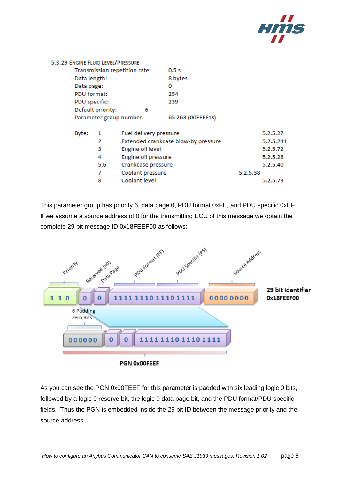

|                   | 5.3.29 ENGINE FLUID LEVEL/PRESSURE |                               |                                     |          |           |
|-------------------|------------------------------------|-------------------------------|-------------------------------------|----------|-----------|
|                   |                                    | Transmission repetition rate: | 0.5s                                |          |           |
| Data length:      |                                    |                               | 8 bytes                             |          |           |
| Data page:        |                                    |                               | 0                                   |          |           |
| PDU format:       |                                    |                               | 254                                 |          |           |
| PDU specific:     |                                    |                               | 239                                 |          |           |
| Default priority: |                                    | 6                             |                                     |          |           |
|                   |                                    | Parameter group number:       | 65 263 (OOFEEF16)                   |          |           |
| Byte:             | 1                                  | Fuel delivery pressure        |                                     |          | 5.2.5.27  |
|                   | 2                                  |                               | Extended crankcase blow-by pressure |          | 5.2.5.241 |
|                   | 3                                  | Engine oil level              |                                     |          | 5.2.5.72  |
|                   | 4                                  | Engine oil pressure           |                                     |          | 5.2.5.28  |
|                   | 5,6                                | Crankcase pressure            |                                     |          | 5.2.5.40  |
|                   | 7                                  | Coolant pressure              |                                     | 5.2.5.38 |           |
|                   | 8                                  | Coolant level                 |                                     |          | 5.2.5.73  |
|                   |                                    |                               |                                     |          |           |

This parameter group has priority 6, data page 0, PDU format 0xFE, and PDU specific 0xEF. If we assume a source address of 0 for the transmitting ECU of this message we obtain the complete 29 bit message ID 0x18FEEF00 as follows:



As you can see the PGN 0x00FEEF for this parameter is padded with six leading logic 0 bits, followed by a logic 0 reserve bit, the logic 0 data page bit, and the PDU format/PDU specific fields. Thus the PGN is embedded inside the 29 bit ID between the message priority and the source address.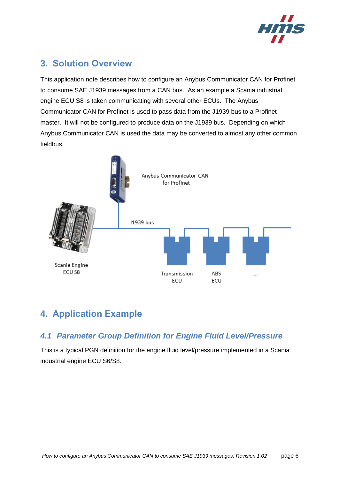

# <span id="page-5-0"></span>**3. Solution Overview**

This application note describes how to configure an Anybus Communicator CAN for Profinet to consume SAE J1939 messages from a CAN bus. As an example a Scania industrial engine ECU S8 is taken communicating with several other ECUs. The Anybus Communicator CAN for Profinet is used to pass data from the J1939 bus to a Profinet master. It will not be configured to produce data on the J1939 bus. Depending on which Anybus Communicator CAN is used the data may be converted to almost any other common fieldbus.



# <span id="page-5-1"></span>**4. Application Example**

### <span id="page-5-2"></span>*4.1 Parameter Group Definition for Engine Fluid Level/Pressure*

This is a typical PGN definition for the engine fluid level/pressure implemented in a Scania industrial engine ECU S6/S8.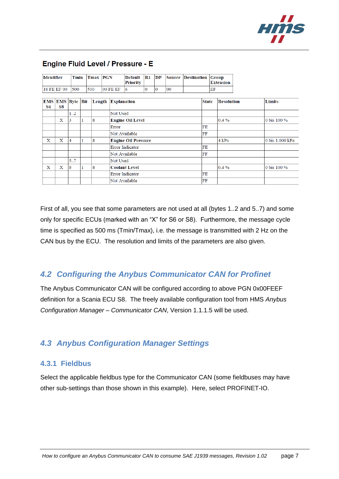

| <b>Identifier</b> |                        | Tmin           |   | <b>Tmax PGN</b> |                         | <b>Default</b><br><b>Priority</b> | $\mathbf{R}1$  | DP             |    | Source Destination |    |                   | Group<br><b>Extension</b> |  |        |                 |
|-------------------|------------------------|----------------|---|-----------------|-------------------------|-----------------------------------|----------------|----------------|----|--------------------|----|-------------------|---------------------------|--|--------|-----------------|
|                   | 18 FE EF 00            | 500            |   | 500             | 00 FE EF                | 6                                 | $\overline{0}$ | $\overline{0}$ | 00 |                    |    | EF                |                           |  |        |                 |
| S6                | EMS EMS Byte Bit<br>S8 |                |   |                 |                         | Length Explanation                |                |                |    | <b>State</b>       |    | <b>Resolution</b> |                           |  | Limits |                 |
|                   |                        | 12             |   |                 | Not Used                |                                   |                |                |    |                    |    |                   |                           |  |        |                 |
|                   | x                      | 3              | 1 | 8               | <b>Engine Oil Level</b> |                                   |                |                |    | $0.4\%$            |    |                   | 0 bis 100 %               |  |        |                 |
|                   |                        |                |   |                 | Error                   |                                   |                |                |    |                    | FE |                   |                           |  |        |                 |
|                   |                        |                |   |                 |                         | Not Available                     |                |                |    |                    | FF |                   |                           |  |        |                 |
| X                 | $\mathbf x$            | $\overline{4}$ |   | 8               |                         | <b>Engine Oil Pressure</b>        |                |                |    |                    |    |                   | 4 kPa                     |  |        | 0 bis 1.000 kPa |
|                   |                        |                |   |                 |                         | <b>Error Indicator</b>            |                |                |    |                    | FE |                   |                           |  |        |                 |
|                   |                        |                |   |                 |                         | Not Available                     |                |                |    | FF                 |    |                   |                           |  |        |                 |
|                   |                        | 5.7            |   |                 |                         | Not Used                          |                |                |    |                    |    |                   |                           |  |        |                 |
| $\mathbf X$       | X                      | 8              |   | 8               |                         | <b>Coolant Level</b>              |                |                |    |                    |    |                   | $0.4\%$                   |  |        | 0 bis 100 %     |
|                   |                        |                |   |                 |                         | <b>Error Indicator</b>            |                |                |    |                    | FE |                   |                           |  |        |                 |
|                   |                        |                |   |                 |                         | Not Available                     |                |                |    |                    | FF |                   |                           |  |        |                 |

### **Engine Fluid Level / Pressure - E**

First of all, you see that some parameters are not used at all (bytes 1..2 and 5..7) and some only for specific ECUs (marked with an "X" for S6 or S8). Furthermore, the message cycle time is specified as 500 ms (Tmin/Tmax), i.e. the message is transmitted with 2 Hz on the CAN bus by the ECU. The resolution and limits of the parameters are also given.

### <span id="page-6-0"></span>*4.2 Configuring the Anybus Communicator CAN for Profinet*

The Anybus Communicator CAN will be configured according to above PGN 0x00FEEF definition for a Scania ECU S8. The freely available configuration tool from HMS *Anybus Configuration Manager – Communicator CAN*, Version 1.1.1.5 will be used.

### <span id="page-6-1"></span>*4.3 Anybus Configuration Manager Settings*

#### <span id="page-6-2"></span>**4.3.1 Fieldbus**

Select the applicable fieldbus type for the Communicator CAN (some fieldbuses may have other sub-settings than those shown in this example). Here, select PROFINET-IO.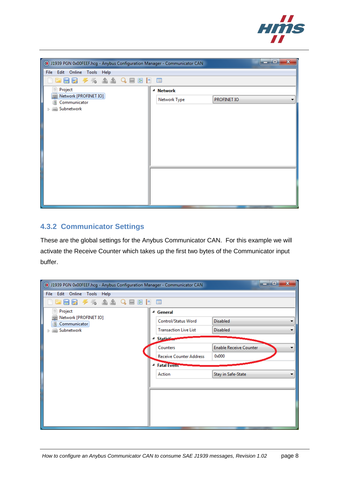

| (* J1939 PGN 0x00FEEF.hcg - Anybus Configuration Manager - Communicator CAN |                      | $\mathbf{x}$<br>$\blacksquare$ $\blacksquare$ |
|-----------------------------------------------------------------------------|----------------------|-----------------------------------------------|
| File Edit Online Tools Help                                                 |                      |                                               |
| 45 44 4日国<br>日房<br>19<br>a                                                  | ■                    |                                               |
| Project<br>≘                                                                | <sup>4</sup> Network |                                               |
| Network [PROFINET IO]<br>Communicator                                       | Network Type         | <b>PROFINET IO</b>                            |
| Subnetwork<br>$\equiv$                                                      |                      |                                               |
|                                                                             |                      |                                               |
|                                                                             |                      |                                               |
|                                                                             |                      |                                               |
|                                                                             |                      |                                               |
|                                                                             |                      |                                               |
|                                                                             |                      |                                               |
|                                                                             |                      |                                               |
|                                                                             |                      |                                               |
|                                                                             |                      |                                               |
|                                                                             |                      |                                               |
|                                                                             |                      |                                               |

#### <span id="page-7-0"></span>**4.3.2 Communicator Settings**

These are the global settings for the Anybus Communicator CAN. For this example we will activate the Receive Counter which takes up the first two bytes of the Communicator input buffer.

| ( <a> 1939 PGN 0x00FEEF.hcg - Anybus Configuration Manager - Communicator CAN</a> |                                | $\mathbf{x}$<br>ا و ا د       |
|-----------------------------------------------------------------------------------|--------------------------------|-------------------------------|
| <b>File</b><br>Edit Online Tools Help                                             |                                |                               |
| % AA Q B B<br>R<br>$\frac{1}{2}$<br>⊫                                             | B<br>■                         |                               |
| ≣<br>Project                                                                      | <sup>4</sup> General           |                               |
| Network [PROFINET IO]<br>Communicator                                             | Control/Status Word            | <b>Disabled</b>               |
| Subnetwork                                                                        | <b>Transaction Live List</b>   | <b>Disabled</b>               |
|                                                                                   | <b>Statistic</b>               |                               |
|                                                                                   | Counters                       | <b>Enable Receive Counter</b> |
|                                                                                   | <b>Receive Counter Address</b> | 0x000                         |
|                                                                                   | <b>Fatal Event</b><br>◢        |                               |
|                                                                                   | Action                         | Stay in Safe-State            |
|                                                                                   |                                |                               |
|                                                                                   |                                |                               |
|                                                                                   |                                |                               |
|                                                                                   |                                |                               |
|                                                                                   |                                |                               |
|                                                                                   |                                |                               |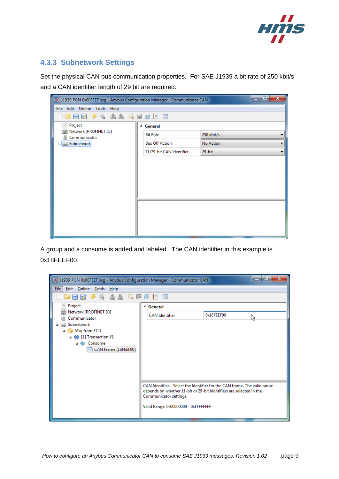

#### <span id="page-8-0"></span>**4.3.3 Subnetwork Settings**

Set the physical CAN bus communication properties. For SAE J1939 a bit rate of 250 kbit/s and a CAN identifier length of 29 bit are required.

| $\mathbf{x}$<br>ات ات<br>(3) J1939 PGN 0x00FEEF.hcg - Anybus Configuration Manager - Communicator CAN |                          |            |  |  |  |  |  |  |
|-------------------------------------------------------------------------------------------------------|--------------------------|------------|--|--|--|--|--|--|
| File Edit Online Tools Help                                                                           |                          |            |  |  |  |  |  |  |
|                                                                                                       |                          |            |  |  |  |  |  |  |
| Project<br>≣                                                                                          | <sup>4</sup> General     |            |  |  |  |  |  |  |
| Network [PROFINET IO]<br>Communicator                                                                 | <b>Bit Rate</b>          | 250 kbit/s |  |  |  |  |  |  |
| Subnetwork                                                                                            | <b>Bus Off Action</b>    | No Action  |  |  |  |  |  |  |
|                                                                                                       | 11/29-bit CAN Identifier | $29$ -bit  |  |  |  |  |  |  |
|                                                                                                       |                          |            |  |  |  |  |  |  |
|                                                                                                       |                          |            |  |  |  |  |  |  |
|                                                                                                       |                          |            |  |  |  |  |  |  |
|                                                                                                       |                          |            |  |  |  |  |  |  |
|                                                                                                       |                          |            |  |  |  |  |  |  |
|                                                                                                       |                          |            |  |  |  |  |  |  |
|                                                                                                       |                          |            |  |  |  |  |  |  |
|                                                                                                       |                          |            |  |  |  |  |  |  |
|                                                                                                       |                          |            |  |  |  |  |  |  |
|                                                                                                       |                          |            |  |  |  |  |  |  |

A group and a consume is added and labeled. The CAN identifier in this example is 0x18FEEF00.

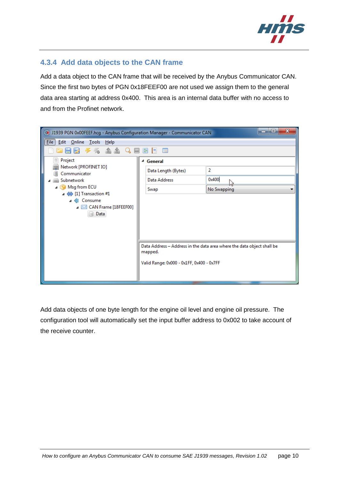

#### <span id="page-9-0"></span>**4.3.4 Add data objects to the CAN frame**

Add a data object to the CAN frame that will be received by the Anybus Communicator CAN. Since the first two bytes of PGN 0x18FEEF00 are not used we assign them to the general data area starting at address 0x400. This area is an internal data buffer with no access to and from the Profinet network.

| $\mathbf{x}$<br><u>- e </u><br>( <a> 1939 PGN 0x00FEEF.hcg - Anybus Configuration Manager - Communicator CAN</a> |                                           |                                                                        |  |  |  |  |  |  |
|------------------------------------------------------------------------------------------------------------------|-------------------------------------------|------------------------------------------------------------------------|--|--|--|--|--|--|
| File Edit Online Tools Help                                                                                      |                                           |                                                                        |  |  |  |  |  |  |
| 5 A A Q<br>  語 <br>- 19<br>囯<br>$\overline{\phantom{a}}$                                                         |                                           |                                                                        |  |  |  |  |  |  |
| Project<br>≣                                                                                                     | <sup>4</sup> General                      |                                                                        |  |  |  |  |  |  |
| Network [PROFINET IO]<br>Communicator                                                                            | Data Length (Bytes)                       | 2                                                                      |  |  |  |  |  |  |
| Subnetwork                                                                                                       | <b>Data Address</b>                       | 0x400                                                                  |  |  |  |  |  |  |
| Msg from ECU<br>$\Leftrightarrow$ [1] Transaction #1                                                             | Swap                                      | No Swapping                                                            |  |  |  |  |  |  |
| Consume                                                                                                          |                                           |                                                                        |  |  |  |  |  |  |
| ⊿ ⊠ CAN Frame [18FEEF00]                                                                                         |                                           |                                                                        |  |  |  |  |  |  |
| Data                                                                                                             |                                           |                                                                        |  |  |  |  |  |  |
|                                                                                                                  |                                           |                                                                        |  |  |  |  |  |  |
|                                                                                                                  |                                           |                                                                        |  |  |  |  |  |  |
|                                                                                                                  |                                           | Data Address - Address in the data area where the data object shall be |  |  |  |  |  |  |
|                                                                                                                  | mapped.                                   |                                                                        |  |  |  |  |  |  |
|                                                                                                                  | Valid Range: 0x000 - 0x1FF, 0x400 - 0x7FF |                                                                        |  |  |  |  |  |  |
|                                                                                                                  |                                           |                                                                        |  |  |  |  |  |  |
|                                                                                                                  |                                           |                                                                        |  |  |  |  |  |  |

Add data objects of one byte length for the engine oil level and engine oil pressure. The configuration tool will automatically set the input buffer address to 0x002 to take account of the receive counter.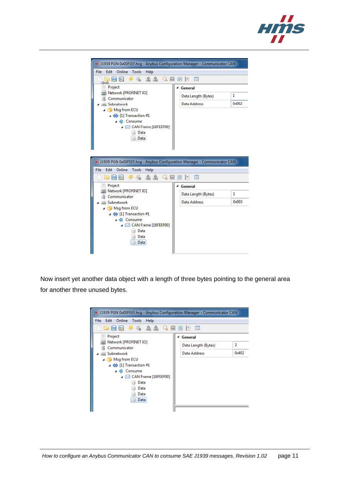



Now insert yet another data object with a length of three bytes pointing to the general area for another three unused bytes.

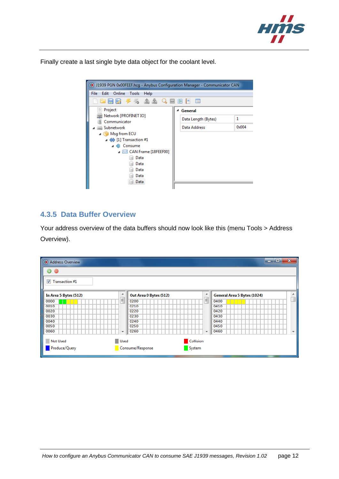

Finally create a last single byte data object for the coolant level.



#### <span id="page-11-0"></span>**4.3.5 Data Buffer Overview**

Your address overview of the data buffers should now look like this (menu Tools > Address Overview).

| Address Overview        |                     |                            |                          | <b>G.</b><br>$\overline{\phantom{a}}$ | $\mathbf{x}$ |
|-------------------------|---------------------|----------------------------|--------------------------|---------------------------------------|--------------|
| 0<br>6                  |                     |                            |                          |                                       |              |
| $\nabla$ Transaction #1 |                     |                            |                          |                                       |              |
| In Area 5 Bytes (512)   | ∸                   | Out Area 0 Bytes (512)     | ▴                        | General Area 5 Bytes (1024)           | ▲            |
| 0000                    | $\equiv$            | 0200                       | $\mathbf{H}$             | 0400                                  |              |
| 0010                    |                     | 0210                       |                          | 0410                                  |              |
| 0020                    |                     | 0220                       |                          | 0420                                  |              |
| 0030                    |                     | 0230                       |                          | 0430                                  |              |
| 0040                    |                     | 0240                       |                          | 0440                                  |              |
| 0050                    |                     | 0250                       |                          | 0450                                  |              |
| 0060                    | $\overline{\nabla}$ | 0260                       | $\overline{\phantom{a}}$ | 0460                                  | ٠            |
| <b>Not Used</b>         | Used                | Collision                  |                          |                                       |              |
| Produce/Query           |                     | Consume/Response<br>System |                          |                                       |              |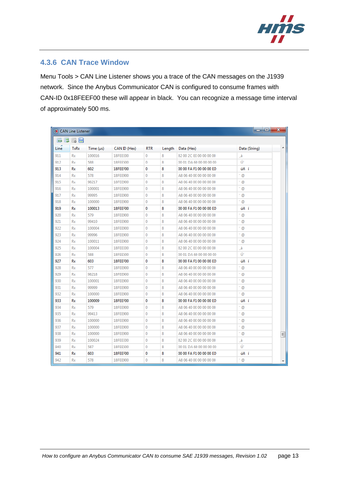

#### <span id="page-12-0"></span>**4.3.6 CAN Trace Window**

Menu Tools > CAN Line Listener shows you a trace of the CAN messages on the J1939 network. Since the Anybus Communicator CAN is configured to consume frames with CAN-ID 0x18FEEF00 these will appear in black. You can recognize a message time interval of approximately 500 ms.

| 厬    | 属日<br>國     |                |              |            |        |                         |               |
|------|-------------|----------------|--------------|------------|--------|-------------------------|---------------|
| Line | <b>TxRx</b> | Time $(\mu s)$ | CAN ID (Hex) | <b>RTR</b> | Length | Data (Hex)              | Data (String) |
| 911  | Rx          | 100016         | 18FEEE00     | 0          | 8      | 82 00 2C E0 00 00 00 00 | á,            |
| 912  | Rx          | 588            | 18FEE500     | 0          | 8      | 00 01 DA 60 00 00 00 00 | Ú             |
| 913  | Rx          | 602            | 18FEEF00     | 0          | 8      | 00 00 FA F1 00 00 00 ED | úñ í          |
| 914  | Rx          | 578            | 18FEE900     | 0          | 8      | A8 06 40 00 00 00 00 00 | $^{\circ}$ @  |
| 915  | <b>Rx</b>   | 98217          | 18FEE900     | 0          | 8      | A8 06 40 00 00 00 00 00 | ™ @           |
| 916  | Rx          | 100001         | 18FEE900     | 0          | 8      | A8 06 40 00 00 00 00 00 | - @           |
| 917  | Rx          | 99995          | 18FEE900     | 0          | 8      | A8 06 40 00 00 00 00 00 | $^{\circ}$ @  |
| 918  | Rx          | 100000         | 18FEE900     | 0          | 8      | A8 06 40 00 00 00 00 00 | - @           |
| 919  | Rx          | 100013         | 18FEEF00     | 0          | 8      | 00 00 FA F1 00 00 00 ED | úñ í          |
| 920  | Rx          | 579            | 18FEE900     | 0          | 8      | A8 06 40 00 00 00 00 00 | $-°$          |
| 921  | Rx          | 99410          | 18FEE900     | 0          | 8      | A8 06 40 00 00 00 00 00 | ″ @           |
| 922  | Rx          | 100004         | 18FEE900     | 0          | 8      | A8 06 40 00 00 00 00 00 | " @           |
| 923  | Rx          | 99996          | 18FEE900     | 0          | 8      | A8 06 40 00 00 00 00 00 | - @           |
| 924  | Rx          | 100011         | 18FEE900     | 0          | 8      | A8 06 40 00 00 00 00 00 | " @           |
| 925  | Rx          | 100004         | 18FEEE00     | 0          | 8      | 82 00 2C E0 00 00 00 00 | á,            |
| 926  | Rx          | 588            | 18FEE500     | 0          | 8      | 00 01 DA 60 00 00 00 00 | Ú             |
| 927  | Rx          | 603            | 18FEEF00     | 0          | 8      | 00 00 FA F1 00 00 00 ED | úñ í          |
| 928  | Rx          | 577            | 18FEE900     | 0          | 8      | A8 06 40 00 00 00 00 00 | ©             |
| 929  | Rx          | 98218          | 18FEE900     | 0          | 8      | A8 06 40 00 00 00 00 00 | " @           |
| 930  | Rx          | 100001         | 18FEE900     | 0          | 8      | A8 06 40 00 00 00 00 00 | $-°$          |
| 931  | Rx          | 99999          | 18FEE900     | 0          | 8      | A8 06 40 00 00 00 00 00 | " @           |
| 932  | Rx          | 100000         | 18FEE900     | 0          | 8      | A8 06 40 00 00 00 00 00 | - @           |
| 933  | Rx          | 100009         | 18FEEF00     | 0          | 8      | 00 00 FA F1 00 00 00 ED | úñ í          |
| 934  | Rx          | 579            | 18FEE900     | 0          | 8      | A8 06 40 00 00 00 00 00 | $-$ @         |
| 935  | Rx          | 99413          | 18FEE900     | 0          | 8      | A8 06 40 00 00 00 00 00 | - 0           |
| 936  | Rx          | 100000         | 18FEE900     | 0          | 8      | A8 06 40 00 00 00 00 00 | ™ @           |
| 937  | Rx          | 100000         | 18FEE900     | 0          | 8      | A8 06 40 00 00 00 00 00 | @             |
| 938  | Rx          | 100000         | 18FEE900     | 0          | 8      | A8 06 40 00 00 00 00 00 | " @           |
| 939  | Rx          | 100024         | 18FEEE00     | 0          | 8      | 82 00 2C E0 00 00 00 00 | á,            |
| 940  | Rx          | 587            | 18FEE500     | 0          | 8      | 00 01 DA 60 00 00 00 00 | Ú             |
| 941  | Rx          | 603            | 18FEEF00     | 0          | 8      | 00 00 FA F1 00 00 00 ED | úñ í          |
| 942  | Rx          | 578            | 18FEE900     | 0          | 8      | A8 06 40 00 00 00 00 00 | - @           |